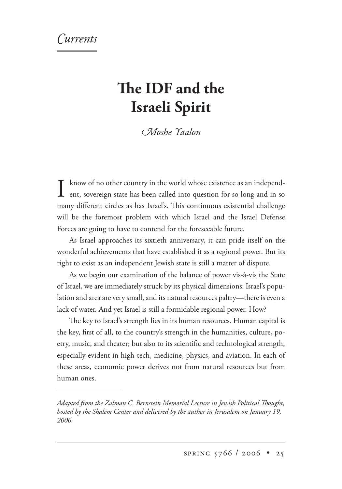## *urrents*

## **e IDF and the Israeli Spirit**

*<i>CMoshe Yaalon* 

 $\prod$  know of no other country in the world whose existence as an independent, sovereign state has been called into question for so long and in so know of no other country in the world whose existence as an independ many different circles as has Israel's. This continuous existential challenge will be the foremost problem with which Israel and the Israel Defense Forces are going to have to contend for the foreseeable future.

As Israel approaches its sixtieth anniversary, it can pride itself on the wonderful achievements that have established it as a regional power. But its right to exist as an independent Jewish state is still a matter of dispute.

As we begin our examination of the balance of power vis-à-vis the State of Israel, we are immediately struck by its physical dimensions: Israel's population and area are very small, and its natural resources paltry—there is even a lack of water. And yet Israel is still a formidable regional power. How?

The key to Israel's strength lies in its human resources. Human capital is the key, first of all, to the country's strength in the humanities, culture, poetry, music, and theater; but also to its scientific and technological strength, especially evident in high-tech, medicine, physics, and aviation. In each of these areas, economic power derives not from natural resources but from human ones.

Adapted from the Zalman C. Bernstein Memorial Lecture in Jewish Political Thought, *hosted by the Shalem Center and delivered by the author in Jerusalem on January 19, 2006.*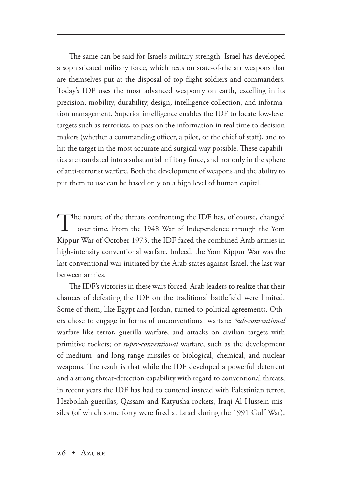The same can be said for Israel's military strength. Israel has developed a sophisticated military force, which rests on state-of-the art weapons that are themselves put at the disposal of top-flight soldiers and commanders. Today's IDF uses the most advanced weaponry on earth, excelling in its precision, mobility, durability, design, intelligence collection, and information management. Superior intelligence enables the IDF to locate low-level targets such as terrorists, to pass on the information in real time to decision makers (whether a commanding officer, a pilot, or the chief of staff), and to hit the target in the most accurate and surgical way possible. These capabilities are translated into a substantial military force, and not only in the sphere of anti-terrorist warfare. Both the development of weapons and the ability to put them to use can be based only on a high level of human capital.

The nature of the threats confronting the IDF has, of course, changed over time. From the 1948 War of Independence through the Yom Kippur War of October 1973, the IDF faced the combined Arab armies in high-intensity conventional warfare. Indeed, the Yom Kippur War was the last conventional war initiated by the Arab states against Israel, the last war between armies.

The IDF's victories in these wars forced Arab leaders to realize that their chances of defeating the IDF on the traditional battlefield were limited. Some of them, like Egypt and Jordan, turned to political agreements. Others chose to engage in forms of unconventional warfare: *Sub-conventional*  warfare like terror, guerilla warfare, and attacks on civilian targets with primitive rockets; or *super-conventional* warfare, such as the development of medium- and long-range missiles or biological, chemical, and nuclear weapons. The result is that while the IDF developed a powerful deterrent and a strong threat-detection capability with regard to conventional threats, in recent years the IDF has had to contend instead with Palestinian terror, Hezbollah guerillas, Qassam and Katyusha rockets, Iraqi Al-Hussein missiles (of which some forty were fired at Israel during the 1991 Gulf War),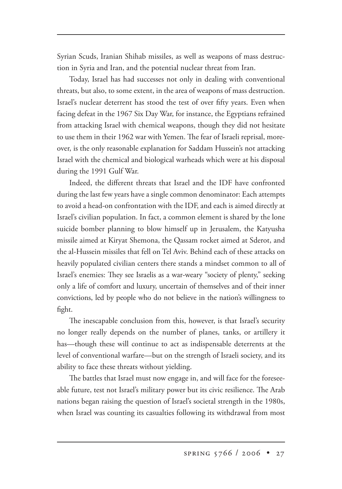Syrian Scuds, Iranian Shihab missiles, as well as weapons of mass destruction in Syria and Iran, and the potential nuclear threat from Iran.

Today, Israel has had successes not only in dealing with conventional threats, but also, to some extent, in the area of weapons of mass destruction. Israel's nuclear deterrent has stood the test of over fifty years. Even when facing defeat in the 1967 Six Day War, for instance, the Egyptians refrained from attacking Israel with chemical weapons, though they did not hesitate to use them in their 1962 war with Yemen. The fear of Israeli reprisal, moreover, is the only reasonable explanation for Saddam Hussein's not attacking Israel with the chemical and biological warheads which were at his disposal during the 1991 Gulf War.

Indeed, the different threats that Israel and the IDF have confronted during the last few years have a single common denominator: Each attempts to avoid a head-on confrontation with the IDF, and each is aimed directly at Israel's civilian population. In fact, a common element is shared by the lone suicide bomber planning to blow himself up in Jerusalem, the Katyusha missile aimed at Kiryat Shemona, the Qassam rocket aimed at Sderot, and the al-Hussein missiles that fell on Tel Aviv. Behind each of these attacks on heavily populated civilian centers there stands a mindset common to all of Israel's enemies: They see Israelis as a war-weary "society of plenty," seeking only a life of comfort and luxury, uncertain of themselves and of their inner convictions, led by people who do not believe in the nation's willingness to fight.

The inescapable conclusion from this, however, is that Israel's security no longer really depends on the number of planes, tanks, or artillery it has—though these will continue to act as indispensable deterrents at the level of conventional warfare—but on the strength of Israeli society, and its ability to face these threats without yielding.

The battles that Israel must now engage in, and will face for the foreseeable future, test not Israel's military power but its civic resilience. The Arab nations began raising the question of Israel's societal strength in the 1980s, when Israel was counting its casualties following its withdrawal from most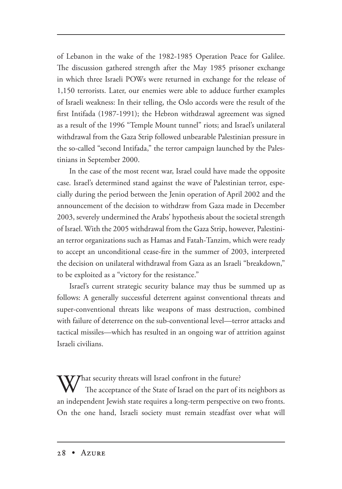of Lebanon in the wake of the 1982-1985 Operation Peace for Galilee. The discussion gathered strength after the May 1985 prisoner exchange in which three Israeli POWs were returned in exchange for the release of 1,150 terrorists. Later, our enemies were able to adduce further examples of Israeli weakness: In their telling, the Oslo accords were the result of the first Intifada (1987-1991); the Hebron withdrawal agreement was signed as a result of the 1996 "Temple Mount tunnel" riots; and Israel's unilateral withdrawal from the Gaza Strip followed unbearable Palestinian pressure in the so-called "second Intifada," the terror campaign launched by the Palestinians in September 2000.

In the case of the most recent war, Israel could have made the opposite case. Israel's determined stand against the wave of Palestinian terror, especially during the period between the Jenin operation of April 2002 and the announcement of the decision to withdraw from Gaza made in December 2003, severely undermined the Arabs' hypothesis about the societal strength of Israel. With the 2005 withdrawal from the Gaza Strip, however, Palestinian terror organizations such as Hamas and Fatah-Tanzim, which were ready to accept an unconditional cease-fire in the summer of 2003, interpreted the decision on unilateral withdrawal from Gaza as an Israeli "breakdown," to be exploited as a "victory for the resistance."

Israel's current strategic security balance may thus be summed up as follows: A generally successful deterrent against conventional threats and super-conventional threats like weapons of mass destruction, combined with failure of deterrence on the sub-conventional level—terror attacks and tactical missiles—which has resulted in an ongoing war of attrition against Israeli civilians.

 $V$ That security threats will Israel confront in the future? The acceptance of the State of Israel on the part of its neighbors as an independent Jewish state requires a long-term perspective on two fronts. On the one hand, Israeli society must remain steadfast over what will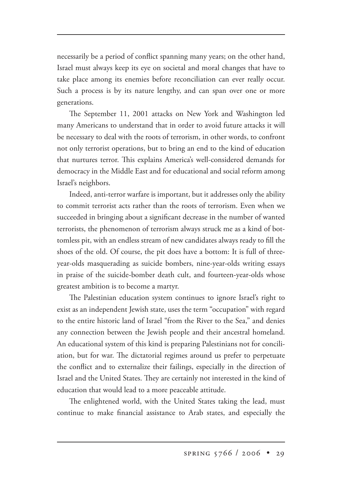necessarily be a period of conflict spanning many years; on the other hand, Israel must always keep its eye on societal and moral changes that have to take place among its enemies before reconciliation can ever really occur. Such a process is by its nature lengthy, and can span over one or more generations.

The September 11, 2001 attacks on New York and Washington led many Americans to understand that in order to avoid future attacks it will be necessary to deal with the roots of terrorism, in other words, to confront not only terrorist operations, but to bring an end to the kind of education that nurtures terror. This explains America's well-considered demands for democracy in the Middle East and for educational and social reform among Israel's neighbors.

Indeed, anti-terror warfare is important, but it addresses only the ability to commit terrorist acts rather than the roots of terrorism. Even when we succeeded in bringing about a significant decrease in the number of wanted terrorists, the phenomenon of terrorism always struck me as a kind of bottomless pit, with an endless stream of new candidates always ready to fill the shoes of the old. Of course, the pit does have a bottom: It is full of threeyear-olds masquerading as suicide bombers, nine-year-olds writing essays in praise of the suicide-bomber death cult, and fourteen-year-olds whose greatest ambition is to become a martyr.

The Palestinian education system continues to ignore Israel's right to exist as an independent Jewish state, uses the term "occupation" with regard to the entire historic land of Israel "from the River to the Sea," and denies any connection between the Jewish people and their ancestral homeland. An educational system of this kind is preparing Palestinians not for conciliation, but for war. The dictatorial regimes around us prefer to perpetuate the conflict and to externalize their failings, especially in the direction of Israel and the United States. They are certainly not interested in the kind of education that would lead to a more peaceable attitude.

The enlightened world, with the United States taking the lead, must continue to make financial assistance to Arab states, and especially the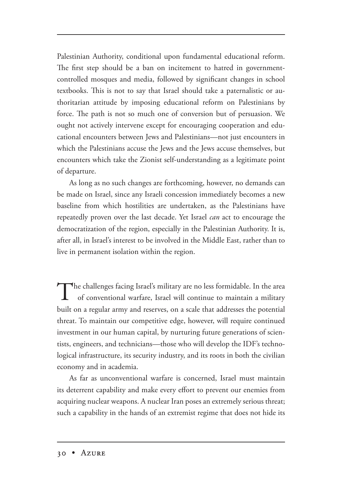Palestinian Authority, conditional upon fundamental educational reform. The first step should be a ban on incitement to hatred in governmentcontrolled mosques and media, followed by significant changes in school textbooks. This is not to say that Israel should take a paternalistic or authoritarian attitude by imposing educational reform on Palestinians by force. The path is not so much one of conversion but of persuasion. We ought not actively intervene except for encouraging cooperation and educational encounters between Jews and Palestinians—not just encounters in which the Palestinians accuse the Jews and the Jews accuse themselves, but encounters which take the Zionist self-understanding as a legitimate point of departure.

As long as no such changes are forthcoming, however, no demands can be made on Israel, since any Israeli concession immediately becomes a new baseline from which hostilities are undertaken, as the Palestinians have repeatedly proven over the last decade. Yet Israel *can* act to encourage the democratization of the region, especially in the Palestinian Authority. It is, after all, in Israel's interest to be involved in the Middle East, rather than to live in permanent isolation within the region.

The challenges facing Israel's military are no less formidable. In the area of conventional warfare, Israel will continue to maintain a military built on a regular army and reserves, on a scale that addresses the potential threat. To maintain our competitive edge, however, will require continued investment in our human capital, by nurturing future generations of scientists, engineers, and technicians—those who will develop the IDF's technological infrastructure, its security industry, and its roots in both the civilian economy and in academia.

As far as unconventional warfare is concerned, Israel must maintain its deterrent capability and make every effort to prevent our enemies from acquiring nuclear weapons. A nuclear Iran poses an extremely serious threat; such a capability in the hands of an extremist regime that does not hide its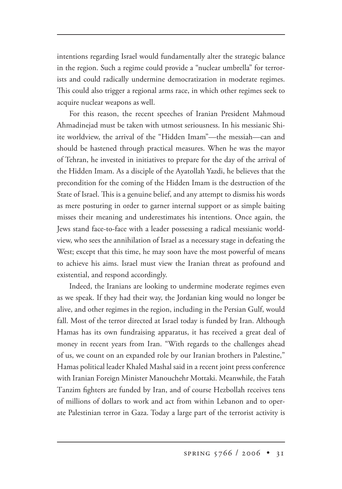intentions regarding Israel would fundamentally alter the strategic balance in the region. Such a regime could provide a "nuclear umbrella" for terrorists and could radically undermine democratization in moderate regimes. This could also trigger a regional arms race, in which other regimes seek to acquire nuclear weapons as well.

For this reason, the recent speeches of Iranian President Mahmoud Ahmadinejad must be taken with utmost seriousness. In his messianic Shiite worldview, the arrival of the "Hidden Imam"—the messiah—can and should be hastened through practical measures. When he was the mayor of Tehran, he invested in initiatives to prepare for the day of the arrival of the Hidden Imam. As a disciple of the Ayatollah Yazdi, he believes that the precondition for the coming of the Hidden Imam is the destruction of the State of Israel. This is a genuine belief, and any attempt to dismiss his words as mere posturing in order to garner internal support or as simple baiting misses their meaning and underestimates his intentions. Once again, the Jews stand face-to-face with a leader possessing a radical messianic worldview, who sees the annihilation of Israel as a necessary stage in defeating the West; except that this time, he may soon have the most powerful of means to achieve his aims. Israel must view the Iranian threat as profound and existential, and respond accordingly.

Indeed, the Iranians are looking to undermine moderate regimes even as we speak. If they had their way, the Jordanian king would no longer be alive, and other regimes in the region, including in the Persian Gulf, would fall. Most of the terror directed at Israel today is funded by Iran. Although Hamas has its own fundraising apparatus, it has received a great deal of money in recent years from Iran. "With regards to the challenges ahead of us, we count on an expanded role by our Iranian brothers in Palestine," Hamas political leader Khaled Mashal said in a recent joint press conference with Iranian Foreign Minister Manouchehr Mottaki. Meanwhile, the Fatah Tanzim fighters are funded by Iran, and of course Hezbollah receives tens of millions of dollars to work and act from within Lebanon and to operate Palestinian terror in Gaza. Today a large part of the terrorist activity is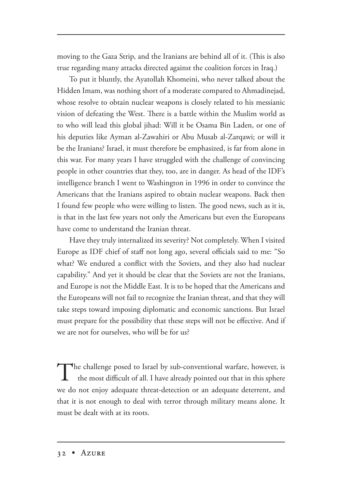moving to the Gaza Strip, and the Iranians are behind all of it. (This is also true regarding many attacks directed against the coalition forces in Iraq.)

To put it bluntly, the Ayatollah Khomeini, who never talked about the Hidden Imam, was nothing short of a moderate compared to Ahmadinejad, whose resolve to obtain nuclear weapons is closely related to his messianic vision of defeating the West. There is a battle within the Muslim world as to who will lead this global jihad: Will it be Osama Bin Laden, or one of his deputies like Ayman al-Zawahiri or Abu Musab al-Zarqawi; or will it be the Iranians? Israel, it must therefore be emphasized, is far from alone in this war. For many years I have struggled with the challenge of convincing people in other countries that they, too, are in danger. As head of the IDF's intelligence branch I went to Washington in 1996 in order to convince the Americans that the Iranians aspired to obtain nuclear weapons. Back then I found few people who were willing to listen. The good news, such as it is, is that in the last few years not only the Americans but even the Europeans have come to understand the Iranian threat.

Have they truly internalized its severity? Not completely. When I visited Europe as IDF chief of staff not long ago, several officials said to me: "So what? We endured a conflict with the Soviets, and they also had nuclear capability." And yet it should be clear that the Soviets are not the Iranians, and Europe is not the Middle East. It is to be hoped that the Americans and the Europeans will not fail to recognize the Iranian threat, and that they will take steps toward imposing diplomatic and economic sanctions. But Israel must prepare for the possibility that these steps will not be effective. And if we are not for ourselves, who will be for us?

 $\blacksquare$  The challenge posed to Israel by sub-conventional warfare, however, is the most difficult of all. I have already pointed out that in this sphere we do not enjoy adequate threat-detection or an adequate deterrent, and that it is not enough to deal with terror through military means alone. It must be dealt with at its roots.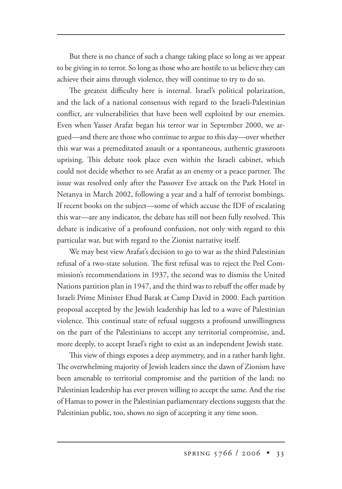But there is no chance of such a change taking place so long as we appear to be giving in to terror. So long as those who are hostile to us believe they can achieve their aims through violence, they will continue to try to do so.

The greatest difficulty here is internal. Israel's political polarization, and the lack of a national consensus with regard to the Israeli-Palestinian conflict, are vulnerabilities that have been well exploited by our enemies. Even when Yasser Arafat began his terror war in September 2000, we argued—and there are those who continue to argue to this day—over whether this war was a premeditated assault or a spontaneous, authentic grassroots uprising. This debate took place even within the Israeli cabinet, which could not decide whether to see Arafat as an enemy or a peace partner. The issue was resolved only after the Passover Eve attack on the Park Hotel in Netanya in March 2002, following a year and a half of terrorist bombings. If recent books on the subject—some of which accuse the IDF of escalating this war—are any indicator, the debate has still not been fully resolved. This debate is indicative of a profound confusion, not only with regard to this particular war, but with regard to the Zionist narrative itself.

We may best view Arafat's decision to go to war as the third Palestinian refusal of a two-state solution. The first refusal was to reject the Peel Commission's recommendations in 1937, the second was to dismiss the United Nations partition plan in 1947, and the third was to rebuff the offer made by Israeli Prime Minister Ehud Barak at Camp David in 2000. Each partition proposal accepted by the Jewish leadership has led to a wave of Palestinian violence. This continual state of refusal suggests a profound unwillingness on the part of the Palestinians to accept any territorial compromise, and, more deeply, to accept Israel's right to exist as an independent Jewish state.

This view of things exposes a deep asymmetry, and in a rather harsh light. The overwhelming majority of Jewish leaders since the dawn of Zionism have been amenable to territorial compromise and the partition of the land; no Palestinian leadership has ever proven willing to accept the same. And the rise of Hamas to power in the Palestinian parliamentary elections suggests that the Palestinian public, too, shows no sign of accepting it any time soon.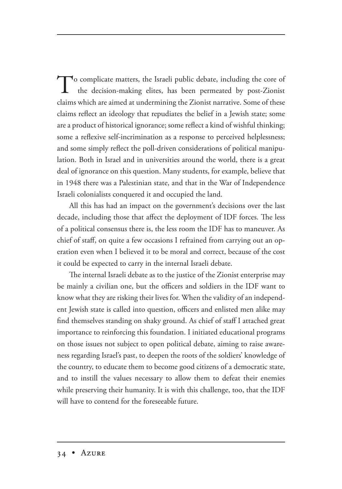To complicate matters, the Israeli public debate, including the core of the decision-making elites, has been permeated by post-Zionist claims which are aimed at undermining the Zionist narrative. Some of these claims reflect an ideology that repudiates the belief in a Jewish state; some are a product of historical ignorance; some reflect a kind of wishful thinking; some a reflexive self-incrimination as a response to perceived helplessness; and some simply reflect the poll-driven considerations of political manipulation. Both in Israel and in universities around the world, there is a great deal of ignorance on this question. Many students, for example, believe that in 1948 there was a Palestinian state, and that in the War of Independence Israeli colonialists conquered it and occupied the land.

All this has had an impact on the government's decisions over the last decade, including those that affect the deployment of IDF forces. The less of a political consensus there is, the less room the IDF has to maneuver. As chief of staff, on quite a few occasions I refrained from carrying out an operation even when I believed it to be moral and correct, because of the cost it could be expected to carry in the internal Israeli debate.

The internal Israeli debate as to the justice of the Zionist enterprise may be mainly a civilian one, but the officers and soldiers in the IDF want to know what they are risking their lives for. When the validity of an independent Jewish state is called into question, officers and enlisted men alike may find themselves standing on shaky ground. As chief of staff I attached great importance to reinforcing this foundation. I initiated educational programs on those issues not subject to open political debate, aiming to raise awareness regarding Israel's past, to deepen the roots of the soldiers' knowledge of the country, to educate them to become good citizens of a democratic state, and to instill the values necessary to allow them to defeat their enemies while preserving their humanity. It is with this challenge, too, that the IDF will have to contend for the foreseeable future.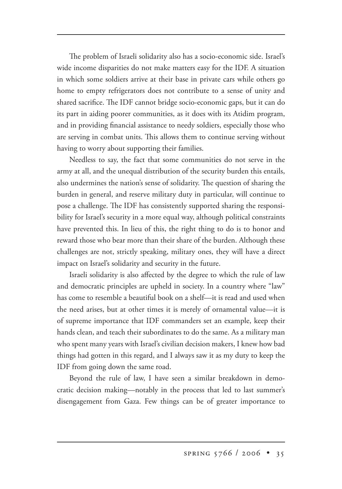The problem of Israeli solidarity also has a socio-economic side. Israel's wide income disparities do not make matters easy for the IDF. A situation in which some soldiers arrive at their base in private cars while others go home to empty refrigerators does not contribute to a sense of unity and shared sacrifice. The IDF cannot bridge socio-economic gaps, but it can do its part in aiding poorer communities, as it does with its Atidim program, and in providing financial assistance to needy soldiers, especially those who are serving in combat units. This allows them to continue serving without having to worry about supporting their families.

Needless to say, the fact that some communities do not serve in the army at all, and the unequal distribution of the security burden this entails, also undermines the nation's sense of solidarity. The question of sharing the burden in general, and reserve military duty in particular, will continue to pose a challenge. The IDF has consistently supported sharing the responsibility for Israel's security in a more equal way, although political constraints have prevented this. In lieu of this, the right thing to do is to honor and reward those who bear more than their share of the burden. Although these challenges are not, strictly speaking, military ones, they will have a direct impact on Israel's solidarity and security in the future.

Israeli solidarity is also affected by the degree to which the rule of law and democratic principles are upheld in society. In a country where "law" has come to resemble a beautiful book on a shelf—it is read and used when the need arises, but at other times it is merely of ornamental value—it is of supreme importance that IDF commanders set an example, keep their hands clean, and teach their subordinates to do the same. As a military man who spent many years with Israel's civilian decision makers, I knew how bad things had gotten in this regard, and I always saw it as my duty to keep the IDF from going down the same road.

Beyond the rule of law, I have seen a similar breakdown in democratic decision making—notably in the process that led to last summer's disengagement from Gaza. Few things can be of greater importance to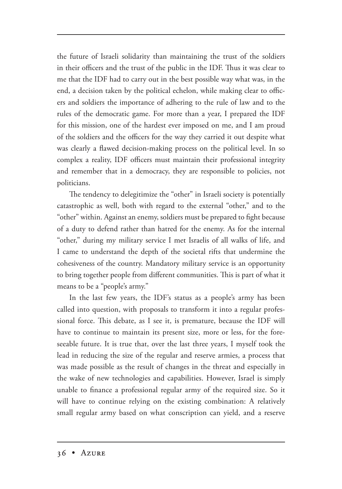the future of Israeli solidarity than maintaining the trust of the soldiers in their officers and the trust of the public in the IDF. Thus it was clear to me that the IDF had to carry out in the best possible way what was, in the end, a decision taken by the political echelon, while making clear to officers and soldiers the importance of adhering to the rule of law and to the rules of the democratic game. For more than a year, I prepared the IDF for this mission, one of the hardest ever imposed on me, and I am proud of the soldiers and the officers for the way they carried it out despite what was clearly a flawed decision-making process on the political level. In so complex a reality, IDF officers must maintain their professional integrity and remember that in a democracy, they are responsible to policies, not politicians.

The tendency to delegitimize the "other" in Israeli society is potentially catastrophic as well, both with regard to the external "other," and to the "other" within. Against an enemy, soldiers must be prepared to fight because of a duty to defend rather than hatred for the enemy. As for the internal "other," during my military service I met Israelis of all walks of life, and I came to understand the depth of the societal rifts that undermine the cohesiveness of the country. Mandatory military service is an opportunity to bring together people from different communities. This is part of what it means to be a "people's army."

In the last few years, the IDF's status as a people's army has been called into question, with proposals to transform it into a regular professional force. This debate, as I see it, is premature, because the IDF will have to continue to maintain its present size, more or less, for the foreseeable future. It is true that, over the last three years, I myself took the lead in reducing the size of the regular and reserve armies, a process that was made possible as the result of changes in the threat and especially in the wake of new technologies and capabilities. However, Israel is simply unable to finance a professional regular army of the required size. So it will have to continue relying on the existing combination: A relatively small regular army based on what conscription can yield, and a reserve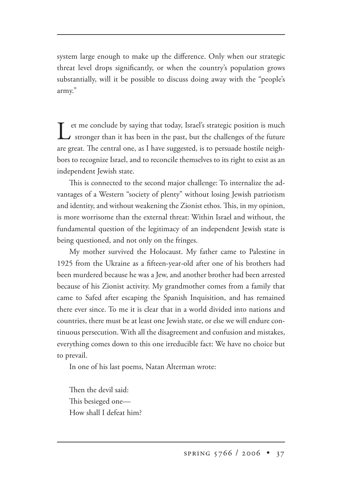system large enough to make up the difference. Only when our strategic threat level drops significantly, or when the country's population grows substantially, will it be possible to discuss doing away with the "people's army."

Let me conclude by saying that today, Israel's strategic position is much<br>stronger than it has been in the past, but the challenges of the future are great. The central one, as I have suggested, is to persuade hostile neighbors to recognize Israel, and to reconcile themselves to its right to exist as an independent Jewish state.

This is connected to the second major challenge: To internalize the advantages of a Western "society of plenty" without losing Jewish patriotism and identity, and without weakening the Zionist ethos. This, in my opinion, is more worrisome than the external threat: Within Israel and without, the fundamental question of the legitimacy of an independent Jewish state is being questioned, and not only on the fringes.

My mother survived the Holocaust. My father came to Palestine in 1925 from the Ukraine as a fifteen-year-old after one of his brothers had been murdered because he was a Jew, and another brother had been arrested because of his Zionist activity. My grandmother comes from a family that came to Safed after escaping the Spanish Inquisition, and has remained there ever since. To me it is clear that in a world divided into nations and countries, there must be at least one Jewish state, or else we will endure continuous persecution. With all the disagreement and confusion and mistakes, everything comes down to this one irreducible fact: We have no choice but to prevail.

In one of his last poems, Natan Alterman wrote:

Then the devil said: This besieged one— How shall I defeat him?